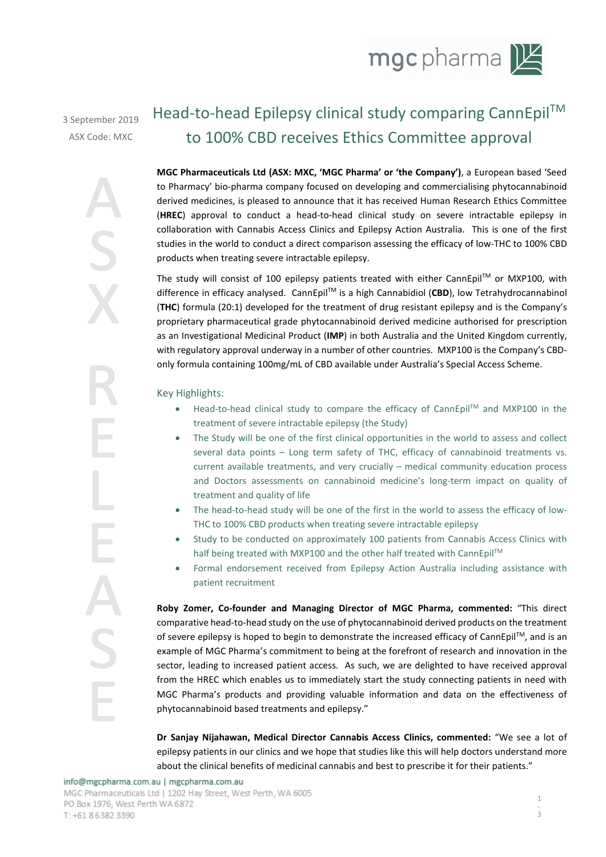

3 September 2019 ASX Code: MXC

# Head-to-head Epilepsy clinical study comparing CannEpil<sup>™</sup> to 100% CBD receives Ethics Committee approval

**MGC Pharmaceuticals Ltd (ASX: MXC, 'MGC Pharma' or 'the Company')**, a European based 'Seed to Pharmacy' bio-pharma company focused on developing and commercialising phytocannabinoid derived medicines, is pleased to announce that it has received Human Research Ethics Committee (**HREC**) approval to conduct a head-to-head clinical study on severe intractable epilepsy in collaboration with Cannabis Access Clinics and Epilepsy Action Australia. This is one of the first studies in the world to conduct a direct comparison assessing the efficacy of low-THC to 100% CBD products when treating severe intractable epilepsy.

The study will consist of 100 epilepsy patients treated with either CannEpil™ or MXP100, with difference in efficacy analysed. CannEpilTM is a high Cannabidiol (**CBD**), low Tetrahydrocannabinol (**THC**) formula (20:1) developed for the treatment of drug resistant epilepsy and is the Company's proprietary pharmaceutical grade phytocannabinoid derived medicine authorised for prescription as an Investigational Medicinal Product (**IMP**) in both Australia and the United Kingdom currently, with regulatory approval underway in a number of other countries. MXP100 is the Company's CBDonly formula containing 100mg/mL of CBD available under Australia's Special Access Scheme.

Key Highlights:

- Head-to-head clinical study to compare the efficacy of CannEpilTM and MXP100 in the treatment of severe intractable epilepsy (the Study)
- The Study will be one of the first clinical opportunities in the world to assess and collect several data points – Long term safety of THC, efficacy of cannabinoid treatments vs. current available treatments, and very crucially – medical community education process and Doctors assessments on cannabinoid medicine's long-term impact on quality of treatment and quality of life
- The head-to-head study will be one of the first in the world to assess the efficacy of low-THC to 100% CBD products when treating severe intractable epilepsy
- Study to be conducted on approximately 100 patients from Cannabis Access Clinics with half being treated with MXP100 and the other half treated with CannEpil™
- Formal endorsement received from Epilepsy Action Australia including assistance with patient recruitment

**Roby Zomer, Co-founder and Managing Director of MGC Pharma, commented:** "This direct comparative head-to-head study on the use of phytocannabinoid derived products on the treatment of severe epilepsy is hoped to begin to demonstrate the increased efficacy of CannEpil™, and is an example of MGC Pharma's commitment to being at the forefront of research and innovation in the sector, leading to increased patient access. As such, we are delighted to have received approval from the HREC which enables us to immediately start the study connecting patients in need with MGC Pharma's products and providing valuable information and data on the effectiveness of phytocannabinoid based treatments and epilepsy."

**Dr Sanjay Nijahawan, Medical Director Cannabis Access Clinics, commented:** "We see a lot of epilepsy patients in our clinics and we hope that studies like this will help doctors understand more MGC Pharma's products and providing valuable information and data on the effective<br>phytocannabinoid based treatments and epilepsy."<br>Dr Sanjay Nijahawan, Medical Director Cannabis Access Clinics, commented: "We see<br>epilepsy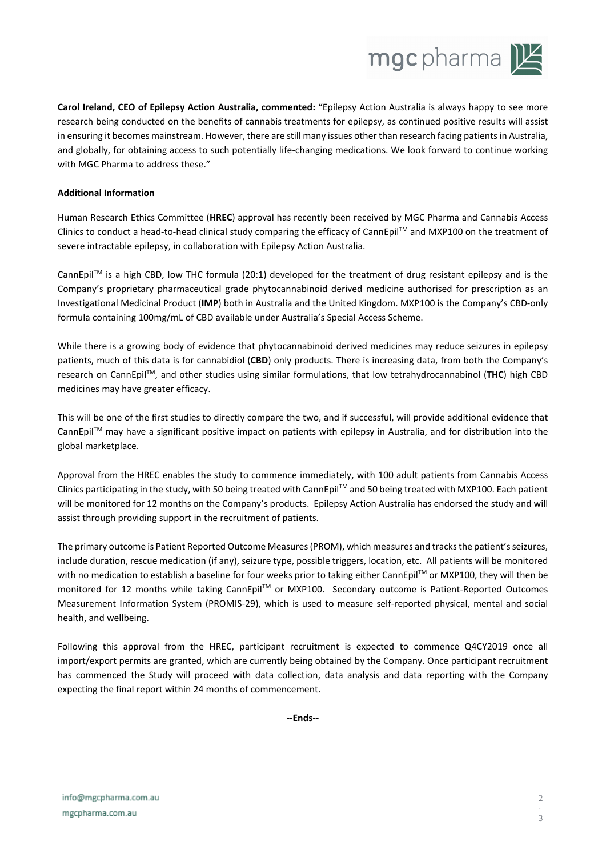

**Carol Ireland, CEO of Epilepsy Action Australia, commented:** "Epilepsy Action Australia is always happy to see more research being conducted on the benefits of cannabis treatments for epilepsy, as continued positive results will assist in ensuring it becomes mainstream. However, there are still many issues other than research facing patients in Australia, and globally, for obtaining access to such potentially life-changing medications. We look forward to continue working with MGC Pharma to address these."

#### **Additional Information**

Human Research Ethics Committee (**HREC**) approval has recently been received by MGC Pharma and Cannabis Access Clinics to conduct a head-to-head clinical study comparing the efficacy of CannEpil™ and MXP100 on the treatment of severe intractable epilepsy, in collaboration with Epilepsy Action Australia.

CannEpil™ is a high CBD, low THC formula (20:1) developed for the treatment of drug resistant epilepsy and is the Company's proprietary pharmaceutical grade phytocannabinoid derived medicine authorised for prescription as an Investigational Medicinal Product (**IMP**) both in Australia and the United Kingdom. MXP100 is the Company's CBD-only formula containing 100mg/mL of CBD available under Australia's Special Access Scheme.

While there is a growing body of evidence that phytocannabinoid derived medicines may reduce seizures in epilepsy patients, much of this data is for cannabidiol (**CBD**) only products. There is increasing data, from both the Company's research on CannEpilTM, and other studies using similar formulations, that low tetrahydrocannabinol (**THC**) high CBD medicines may have greater efficacy.

This will be one of the first studies to directly compare the two, and if successful, will provide additional evidence that CannEpil<sup>TM</sup> may have a significant positive impact on patients with epilepsy in Australia, and for distribution into the global marketplace.

Approval from the HREC enables the study to commence immediately, with 100 adult patients from Cannabis Access Clinics participating in the study, with 50 being treated with CannEpilTM and 50 being treated with MXP100. Each patient will be monitored for 12 months on the Company's products. Epilepsy Action Australia has endorsed the study and will assist through providing support in the recruitment of patients.

The primary outcome is Patient Reported Outcome Measures (PROM), which measures and tracks the patient's seizures, include duration, rescue medication (if any), seizure type, possible triggers, location, etc. All patients will be monitored with no medication to establish a baseline for four weeks prior to taking either CannEpil<sup>TM</sup> or MXP100, they will then be monitored for 12 months while taking CannEpil™ or MXP100. Secondary outcome is Patient-Reported Outcomes Measurement Information System (PROMIS-29), which is used to measure self-reported physical, mental and social health, and wellbeing.

Following this approval from the HREC, participant recruitment is expected to commence Q4CY2019 once all import/export permits are granted, which are currently being obtained by the Company. Once participant recruitment has commenced the Study will proceed with data collection, data analysis and data reporting with the Company expecting the final report within 24 months of commencement. **--Ends--**